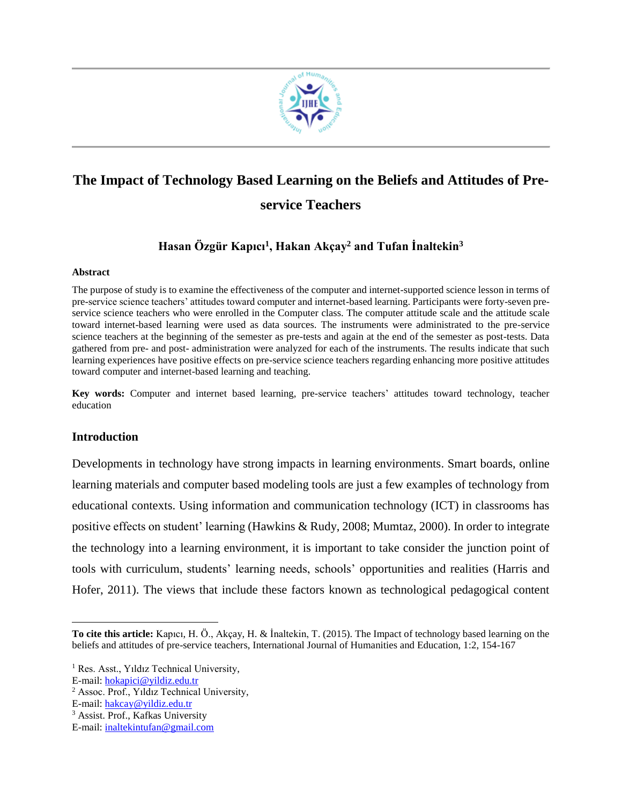

# **The Impact of Technology Based Learning on the Beliefs and Attitudes of Preservice Teachers**

# **Hasan Özgür Kapıcı<sup>1</sup> , Hakan Akçay<sup>2</sup> and Tufan İnaltekin<sup>3</sup>**

#### **Abstract**

The purpose of study is to examine the effectiveness of the computer and internet-supported science lesson in terms of pre-service science teachers' attitudes toward computer and internet-based learning. Participants were forty-seven preservice science teachers who were enrolled in the Computer class. The computer attitude scale and the attitude scale toward internet-based learning were used as data sources. The instruments were administrated to the pre-service science teachers at the beginning of the semester as pre-tests and again at the end of the semester as post-tests. Data gathered from pre- and post- administration were analyzed for each of the instruments. The results indicate that such learning experiences have positive effects on pre-service science teachers regarding enhancing more positive attitudes toward computer and internet-based learning and teaching.

**Key words:** Computer and internet based learning, pre-service teachers' attitudes toward technology, teacher education

## **Introduction**

 $\overline{\phantom{a}}$ 

Developments in technology have strong impacts in learning environments. Smart boards, online learning materials and computer based modeling tools are just a few examples of technology from educational contexts. Using information and communication technology (ICT) in classrooms has positive effects on student' learning (Hawkins & Rudy, 2008; Mumtaz, 2000). In order to integrate the technology into a learning environment, it is important to take consider the junction point of tools with curriculum, students' learning needs, schools' opportunities and realities (Harris and Hofer, 2011). The views that include these factors known as technological pedagogical content

**To cite this article:** Kapıcı, H. Ö., Akçay, H. & İnaltekin, T. (2015). The Impact of technology based learning on the beliefs and attitudes of pre-service teachers, International Journal of Humanities and Education, 1:2, 154-167

<sup>&</sup>lt;sup>1</sup> Res. Asst., Yıldız Technical University,

E-mail: [hokapici@yildiz.edu.tr](mailto:hokapici@yildiz.edu.tr)

<sup>2</sup> Assoc. Prof., Yıldız Technical University,

E-mail: [hakcay@yildiz.edu.tr](mailto:hakcay@yildiz.edu.tr)

<sup>3</sup> Assist. Prof., Kafkas University

E-mail: [inaltekintufan@gmail.com](mailto:inaltekintufan@gmail.com)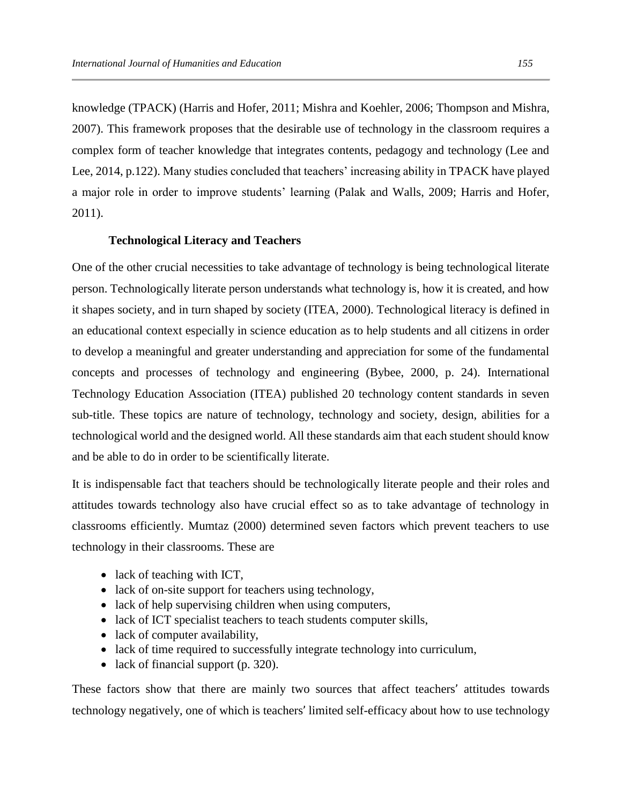knowledge (TPACK) (Harris and Hofer, 2011; Mishra and Koehler, 2006; Thompson and Mishra, 2007). This framework proposes that the desirable use of technology in the classroom requires a complex form of teacher knowledge that integrates contents, pedagogy and technology (Lee and Lee, 2014, p.122). Many studies concluded that teachers' increasing ability in TPACK have played a major role in order to improve students' learning (Palak and Walls, 2009; Harris and Hofer, 2011).

#### **Technological Literacy and Teachers**

One of the other crucial necessities to take advantage of technology is being technological literate person. Technologically literate person understands what technology is, how it is created, and how it shapes society, and in turn shaped by society (ITEA, 2000). Technological literacy is defined in an educational context especially in science education as to help students and all citizens in order to develop a meaningful and greater understanding and appreciation for some of the fundamental concepts and processes of technology and engineering (Bybee, 2000, p. 24). International Technology Education Association (ITEA) published 20 technology content standards in seven sub-title. These topics are nature of technology, technology and society, design, abilities for a technological world and the designed world. All these standards aim that each student should know and be able to do in order to be scientifically literate.

It is indispensable fact that teachers should be technologically literate people and their roles and attitudes towards technology also have crucial effect so as to take advantage of technology in classrooms efficiently. Mumtaz (2000) determined seven factors which prevent teachers to use technology in their classrooms. These are

- lack of teaching with ICT,
- lack of on-site support for teachers using technology,
- lack of help supervising children when using computers,
- lack of ICT specialist teachers to teach students computer skills,
- lack of computer availability,
- lack of time required to successfully integrate technology into curriculum,
- lack of financial support (p. 320).

These factors show that there are mainly two sources that affect teachers' attitudes towards technology negatively, one of which is teachers' limited self-efficacy about how to use technology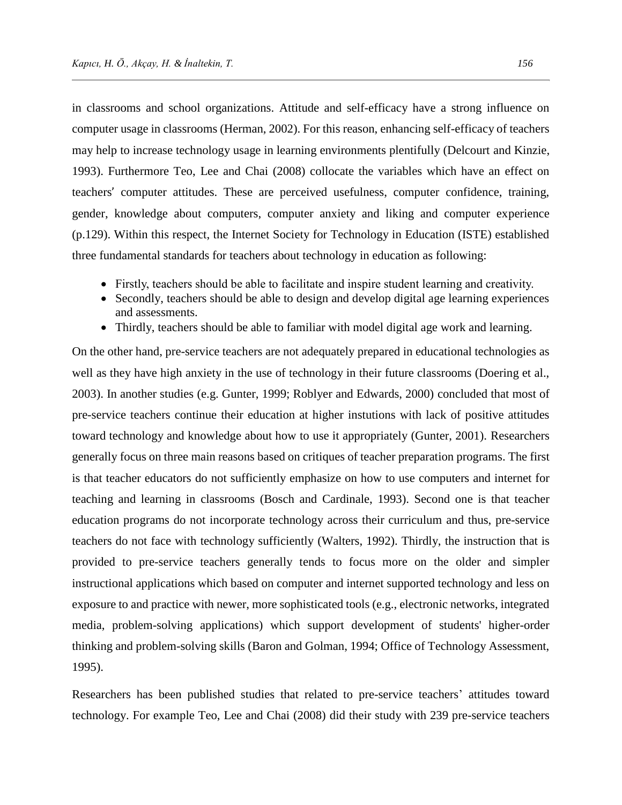in classrooms and school organizations. Attitude and self-efficacy have a strong influence on computer usage in classrooms (Herman, 2002). For this reason, enhancing self-efficacy of teachers may help to increase technology usage in learning environments plentifully (Delcourt and Kinzie, 1993). Furthermore Teo, Lee and Chai (2008) collocate the variables which have an effect on teachers' computer attitudes. These are perceived usefulness, computer confidence, training, gender, knowledge about computers, computer anxiety and liking and computer experience (p.129). Within this respect, the Internet Society for Technology in Education (ISTE) established three fundamental standards for teachers about technology in education as following:

- Firstly, teachers should be able to facilitate and inspire student learning and creativity.
- Secondly, teachers should be able to design and develop digital age learning experiences and assessments.
- Thirdly, teachers should be able to familiar with model digital age work and learning.

On the other hand, pre-service teachers are not adequately prepared in educational technologies as well as they have high anxiety in the use of technology in their future classrooms (Doering et al., 2003). In another studies (e.g. Gunter, 1999; Roblyer and Edwards, 2000) concluded that most of pre-service teachers continue their education at higher instutions with lack of positive attitudes toward technology and knowledge about how to use it appropriately (Gunter, 2001). Researchers generally focus on three main reasons based on critiques of teacher preparation programs. The first is that teacher educators do not sufficiently emphasize on how to use computers and internet for teaching and learning in classrooms (Bosch and Cardinale, 1993). Second one is that teacher education programs do not incorporate technology across their curriculum and thus, pre-service teachers do not face with technology sufficiently (Walters, 1992). Thirdly, the instruction that is provided to pre-service teachers generally tends to focus more on the older and simpler instructional applications which based on computer and internet supported technology and less on exposure to and practice with newer, more sophisticated tools (e.g., electronic networks, integrated media, problem-solving applications) which support development of students' higher-order thinking and problem-solving skills (Baron and Golman, 1994; Office of Technology Assessment, 1995).

Researchers has been published studies that related to pre-service teachers' attitudes toward technology. For example Teo, Lee and Chai (2008) did their study with 239 pre-service teachers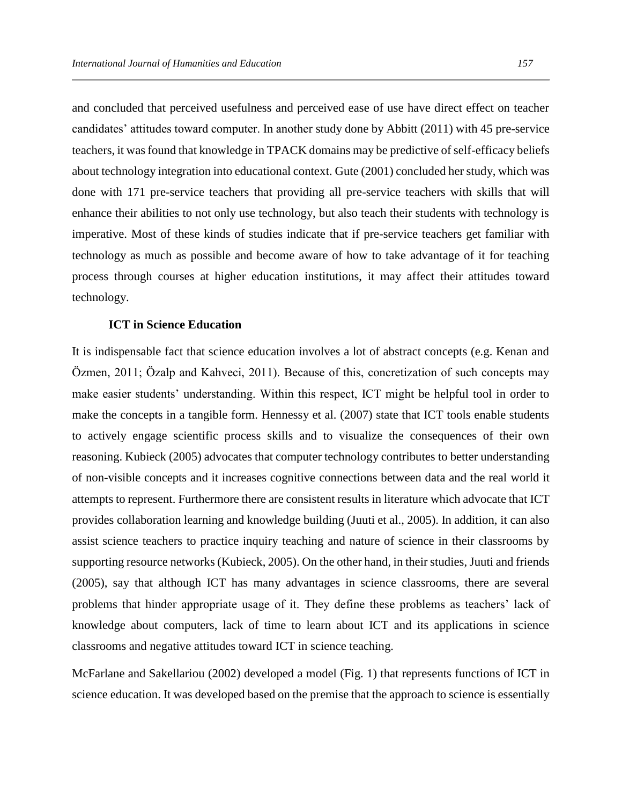and concluded that perceived usefulness and perceived ease of use have direct effect on teacher candidates' attitudes toward computer. In another study done by Abbitt (2011) with 45 pre-service teachers, it was found that knowledge in TPACK domains may be predictive of self-efficacy beliefs about technology integration into educational context. Gute (2001) concluded her study, which was done with 171 pre-service teachers that providing all pre-service teachers with skills that will enhance their abilities to not only use technology, but also teach their students with technology is imperative. Most of these kinds of studies indicate that if pre-service teachers get familiar with technology as much as possible and become aware of how to take advantage of it for teaching process through courses at higher education institutions, it may affect their attitudes toward technology.

#### **ICT in Science Education**

It is indispensable fact that science education involves a lot of abstract concepts (e.g. Kenan and Özmen, 2011; Özalp and Kahveci, 2011). Because of this, concretization of such concepts may make easier students' understanding. Within this respect, ICT might be helpful tool in order to make the concepts in a tangible form. Hennessy et al. (2007) state that ICT tools enable students to actively engage scientific process skills and to visualize the consequences of their own reasoning. Kubieck (2005) advocates that computer technology contributes to better understanding of non-visible concepts and it increases cognitive connections between data and the real world it attempts to represent. Furthermore there are consistent results in literature which advocate that ICT provides collaboration learning and knowledge building (Juuti et al., 2005). In addition, it can also assist science teachers to practice inquiry teaching and nature of science in their classrooms by supporting resource networks (Kubieck, 2005). On the other hand, in their studies, Juuti and friends (2005), say that although ICT has many advantages in science classrooms, there are several problems that hinder appropriate usage of it. They define these problems as teachers' lack of knowledge about computers, lack of time to learn about ICT and its applications in science classrooms and negative attitudes toward ICT in science teaching.

McFarlane and Sakellariou (2002) developed a model (Fig. 1) that represents functions of ICT in science education. It was developed based on the premise that the approach to science is essentially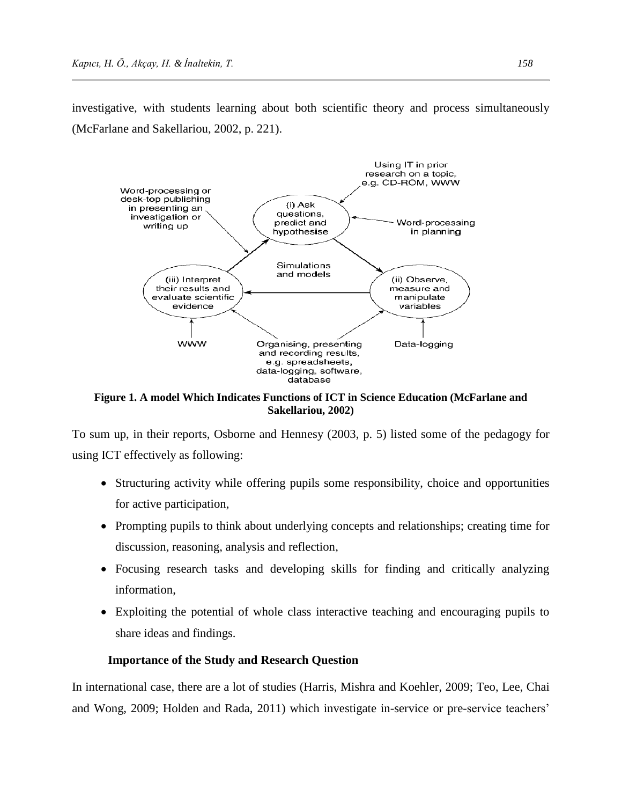investigative, with students learning about both scientific theory and process simultaneously (McFarlane and Sakellariou, 2002, p. 221).



**Figure 1. A model Which Indicates Functions of ICT in Science Education (McFarlane and Sakellariou, 2002)**

To sum up, in their reports, Osborne and Hennesy (2003, p. 5) listed some of the pedagogy for using ICT effectively as following:

- Structuring activity while offering pupils some responsibility, choice and opportunities for active participation,
- Prompting pupils to think about underlying concepts and relationships; creating time for discussion, reasoning, analysis and reflection,
- Focusing research tasks and developing skills for finding and critically analyzing information,
- Exploiting the potential of whole class interactive teaching and encouraging pupils to share ideas and findings.

### **Importance of the Study and Research Question**

In international case, there are a lot of studies (Harris, Mishra and Koehler, 2009; Teo, Lee, Chai and Wong, 2009; Holden and Rada, 2011) which investigate in-service or pre-service teachers'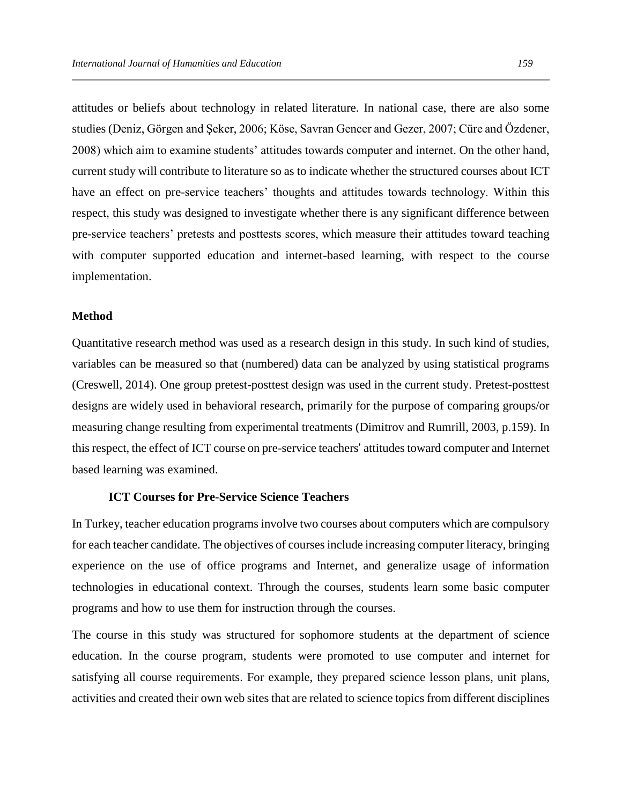attitudes or beliefs about technology in related literature. In national case, there are also some studies (Deniz, Görgen and Şeker, 2006; Köse, Savran Gencer and Gezer, 2007; Cüre and Özdener, 2008) which aim to examine students' attitudes towards computer and internet. On the other hand, current study will contribute to literature so as to indicate whether the structured courses about ICT have an effect on pre-service teachers' thoughts and attitudes towards technology. Within this respect, this study was designed to investigate whether there is any significant difference between pre-service teachers' pretests and posttests scores, which measure their attitudes toward teaching with computer supported education and internet-based learning, with respect to the course implementation.

#### **Method**

Quantitative research method was used as a research design in this study. In such kind of studies, variables can be measured so that (numbered) data can be analyzed by using statistical programs (Creswell, 2014). One group pretest-posttest design was used in the current study. Pretest-posttest designs are widely used in behavioral research, primarily for the purpose of comparing groups/or measuring change resulting from experimental treatments (Dimitrov and Rumrill, 2003, p.159). In this respect, the effect of ICT course on pre-service teachers' attitudes toward computer and Internet based learning was examined.

#### **ICT Courses for Pre-Service Science Teachers**

In Turkey, teacher education programs involve two courses about computers which are compulsory for each teacher candidate. The objectives of courses include increasing computer literacy, bringing experience on the use of office programs and Internet, and generalize usage of information technologies in educational context. Through the courses, students learn some basic computer programs and how to use them for instruction through the courses.

The course in this study was structured for sophomore students at the department of science education. In the course program, students were promoted to use computer and internet for satisfying all course requirements. For example, they prepared science lesson plans, unit plans, activities and created their own web sites that are related to science topics from different disciplines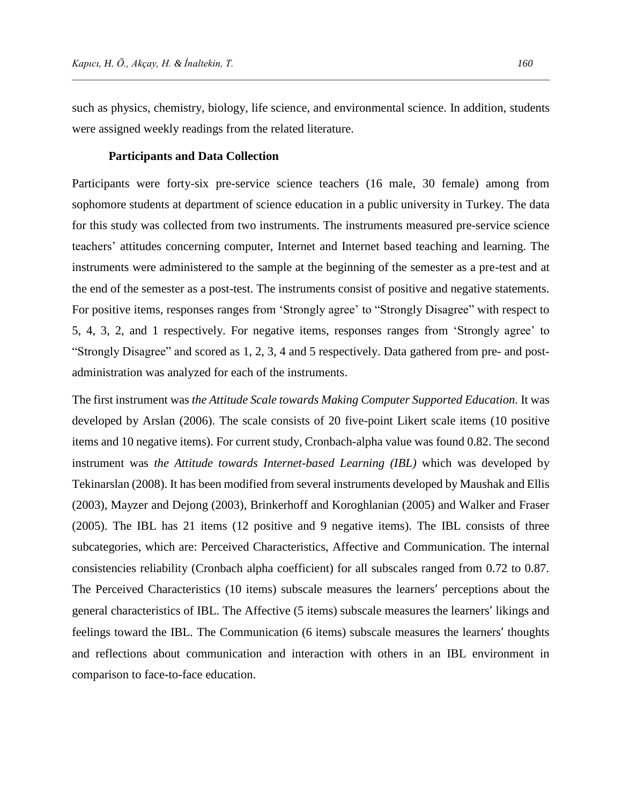such as physics, chemistry, biology, life science, and environmental science. In addition, students were assigned weekly readings from the related literature.

#### **Participants and Data Collection**

Participants were forty-six pre-service science teachers (16 male, 30 female) among from sophomore students at department of science education in a public university in Turkey. The data for this study was collected from two instruments. The instruments measured pre-service science teachers' attitudes concerning computer, Internet and Internet based teaching and learning. The instruments were administered to the sample at the beginning of the semester as a pre-test and at the end of the semester as a post-test. The instruments consist of positive and negative statements. For positive items, responses ranges from 'Strongly agree' to "Strongly Disagree" with respect to 5, 4, 3, 2, and 1 respectively. For negative items, responses ranges from 'Strongly agree' to "Strongly Disagree" and scored as 1, 2, 3, 4 and 5 respectively. Data gathered from pre- and postadministration was analyzed for each of the instruments.

The first instrument was *the Attitude Scale towards Making Computer Supported Education.* It was developed by Arslan (2006). The scale consists of 20 five-point Likert scale items (10 positive items and 10 negative items). For current study, Cronbach-alpha value was found 0.82. The second instrument was *the Attitude towards Internet-based Learning (IBL)* which was developed by Tekinarslan (2008). It has been modified from several instruments developed by Maushak and Ellis (2003), Mayzer and Dejong (2003), Brinkerhoff and Koroghlanian (2005) and Walker and Fraser (2005). The IBL has 21 items (12 positive and 9 negative items). The IBL consists of three subcategories, which are: Perceived Characteristics, Affective and Communication. The internal consistencies reliability (Cronbach alpha coefficient) for all subscales ranged from 0.72 to 0.87. The Perceived Characteristics (10 items) subscale measures the learners' perceptions about the general characteristics of IBL. The Affective (5 items) subscale measures the learners' likings and feelings toward the IBL. The Communication (6 items) subscale measures the learners' thoughts and reflections about communication and interaction with others in an IBL environment in comparison to face-to-face education.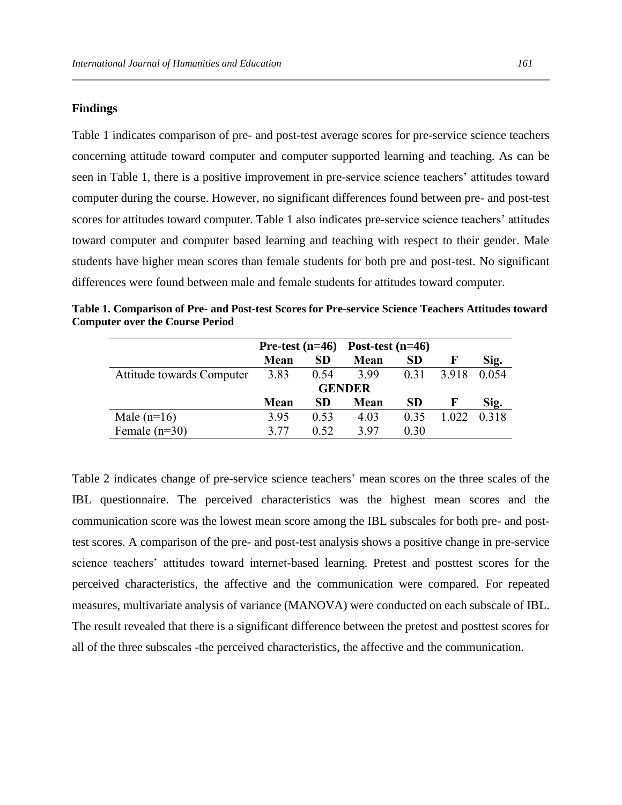#### **Findings**

Table 1 indicates comparison of pre- and post-test average scores for pre-service science teachers concerning attitude toward computer and computer supported learning and teaching. As can be seen in Table 1, there is a positive improvement in pre-service science teachers' attitudes toward computer during the course. However, no significant differences found between pre- and post-test scores for attitudes toward computer. Table 1 also indicates pre-service science teachers' attitudes toward computer and computer based learning and teaching with respect to their gender. Male students have higher mean scores than female students for both pre and post-test. No significant differences were found between male and female students for attitudes toward computer.

|                           |               |           | Pre-test $(n=46)$ Post-test $(n=46)$ |           |       |       |
|---------------------------|---------------|-----------|--------------------------------------|-----------|-------|-------|
|                           | Mean          | <b>SD</b> | Mean                                 | <b>SD</b> | F     | Sig.  |
| Attitude towards Computer | 3.83          | 0.54      | 3.99                                 | 0.31      | 3.918 | 0.054 |
|                           | <b>GENDER</b> |           |                                      |           |       |       |
|                           | Mean          | <b>SD</b> | Mean                                 | SD.       | Е     | Sig.  |
| Male $(n=16)$             | 3.95          | 0.53      | 4.03                                 | 0.35      | 1.022 | 0.318 |
| Female $(n=30)$           | 3.77          | 0.52      | 397                                  | 0.30      |       |       |

**Table 1. Comparison of Pre- and Post-test Scores for Pre-service Science Teachers Attitudes toward Computer over the Course Period**

Table 2 indicates change of pre-service science teachers' mean scores on the three scales of the IBL questionnaire. The perceived characteristics was the highest mean scores and the communication score was the lowest mean score among the IBL subscales for both pre- and posttest scores. A comparison of the pre- and post-test analysis shows a positive change in pre-service science teachers' attitudes toward internet-based learning. Pretest and posttest scores for the perceived characteristics, the affective and the communication were compared. For repeated measures, multivariate analysis of variance (MANOVA) were conducted on each subscale of IBL. The result revealed that there is a significant difference between the pretest and posttest scores for all of the three subscales -the perceived characteristics, the affective and the communication.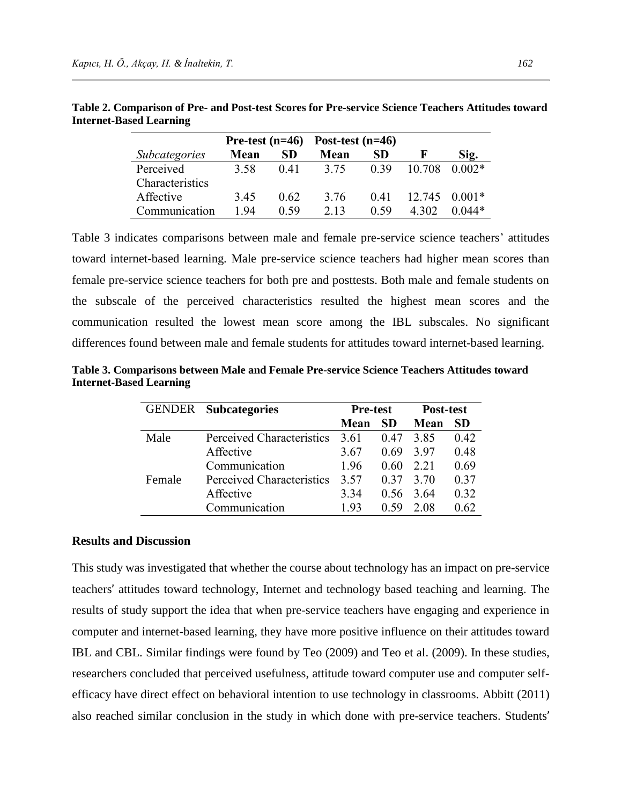|                      |      |      | Pre-test $(n=46)$ Post-test $(n=46)$ |      |        |          |
|----------------------|------|------|--------------------------------------|------|--------|----------|
| <i>Subcategories</i> | Mean | SD   | Mean                                 | SD   |        | Sig.     |
| Perceived            | 3.58 | 0.41 | 3.75                                 | 0.39 | 10.708 | $0.002*$ |
| Characteristics      |      |      |                                      |      |        |          |
| Affective            | 3.45 | 0.62 | 3.76                                 | 0.41 | 12.745 | $0.001*$ |
| Communication        | 194  | 0.59 | 2.13                                 | 0.59 | 302    | $0.044*$ |

**Table 2. Comparison of Pre- and Post-test Scores for Pre-service Science Teachers Attitudes toward Internet-Based Learning**

Table 3 indicates comparisons between male and female pre-service science teachers' attitudes toward internet-based learning. Male pre-service science teachers had higher mean scores than female pre-service science teachers for both pre and posttests. Both male and female students on the subscale of the perceived characteristics resulted the highest mean scores and the communication resulted the lowest mean score among the IBL subscales. No significant differences found between male and female students for attitudes toward internet-based learning.

|        | <b>GENDER</b> Subcategories | <b>Pre-test</b> |      | Post-test |           |
|--------|-----------------------------|-----------------|------|-----------|-----------|
|        |                             | Mean            | SD   | Mean      | <b>SD</b> |
| Male   | Perceived Characteristics   | 3.61            | 0.47 | 385       | 0.42      |
|        | Affective                   | 3.67            | 0.69 | 397       | 0.48      |
|        | Communication               | 1.96            | 0.60 | 2.21      | 0.69      |
| Female | Perceived Characteristics   | 3.57            | 0.37 | 3.70      | 0.37      |
|        | Affective                   | 3.34            | 0.56 | 3.64      | 0.32      |
|        | Communication               | 193             | በ 59 | 2.08      | 0.62      |

**Table 3. Comparisons between Male and Female Pre-service Science Teachers Attitudes toward Internet-Based Learning**

#### **Results and Discussion**

This study was investigated that whether the course about technology has an impact on pre-service teachers' attitudes toward technology, Internet and technology based teaching and learning. The results of study support the idea that when pre-service teachers have engaging and experience in computer and internet-based learning, they have more positive influence on their attitudes toward IBL and CBL. Similar findings were found by Teo (2009) and Teo et al. (2009). In these studies, researchers concluded that perceived usefulness, attitude toward computer use and computer selfefficacy have direct effect on behavioral intention to use technology in classrooms. Abbitt (2011) also reached similar conclusion in the study in which done with pre-service teachers. Students'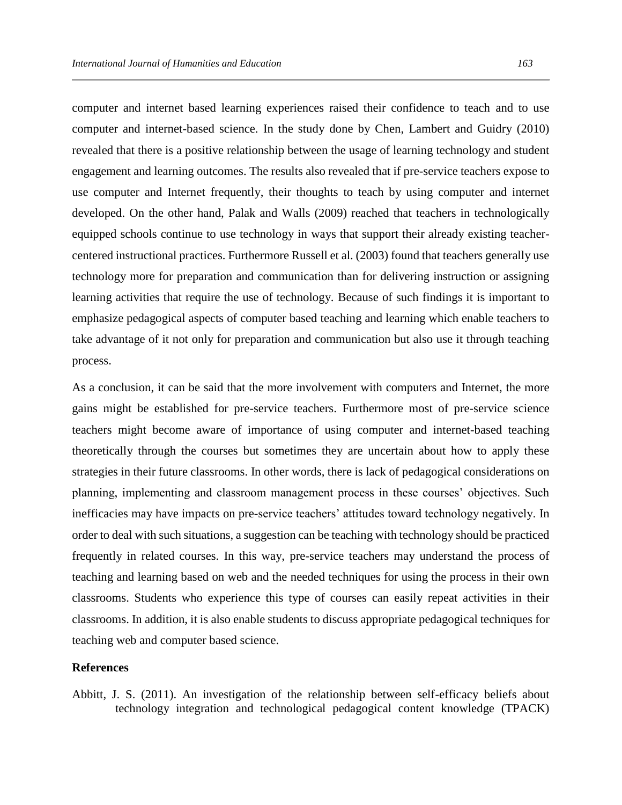computer and internet based learning experiences raised their confidence to teach and to use computer and internet-based science. In the study done by Chen, Lambert and Guidry (2010) revealed that there is a positive relationship between the usage of learning technology and student engagement and learning outcomes. The results also revealed that if pre-service teachers expose to use computer and Internet frequently, their thoughts to teach by using computer and internet developed. On the other hand, Palak and Walls (2009) reached that teachers in technologically equipped schools continue to use technology in ways that support their already existing teachercentered instructional practices. Furthermore Russell et al. (2003) found that teachers generally use technology more for preparation and communication than for delivering instruction or assigning learning activities that require the use of technology. Because of such findings it is important to emphasize pedagogical aspects of computer based teaching and learning which enable teachers to take advantage of it not only for preparation and communication but also use it through teaching process.

As a conclusion, it can be said that the more involvement with computers and Internet, the more gains might be established for pre-service teachers. Furthermore most of pre-service science teachers might become aware of importance of using computer and internet-based teaching theoretically through the courses but sometimes they are uncertain about how to apply these strategies in their future classrooms. In other words, there is lack of pedagogical considerations on planning, implementing and classroom management process in these courses' objectives. Such inefficacies may have impacts on pre-service teachers' attitudes toward technology negatively. In order to deal with such situations, a suggestion can be teaching with technology should be practiced frequently in related courses. In this way, pre-service teachers may understand the process of teaching and learning based on web and the needed techniques for using the process in their own classrooms. Students who experience this type of courses can easily repeat activities in their classrooms. In addition, it is also enable students to discuss appropriate pedagogical techniques for teaching web and computer based science.

#### **References**

Abbitt, J. S. (2011). An investigation of the relationship between self-efficacy beliefs about technology integration and technological pedagogical content knowledge (TPACK)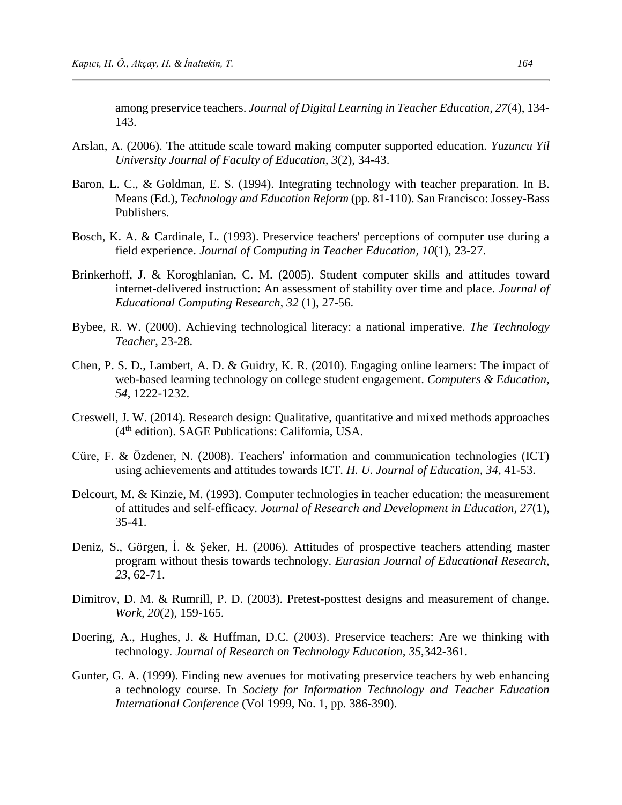among preservice teachers. *Journal of Digital Learning in Teacher Education, 27*(4), 134- 143.

- Arslan, A. (2006). The attitude scale toward making computer supported education. *Yuzuncu Yil University Journal of Faculty of Education, 3*(2), 34-43.
- Baron, L. C., & Goldman, E. S. (1994). Integrating technology with teacher preparation. In B. Means (Ed.), *Technology and Education Reform* (pp. 81-110). San Francisco: Jossey-Bass Publishers.
- Bosch, K. A. & Cardinale, L. (1993). Preservice teachers' perceptions of computer use during a field experience. *Journal of Computing in Teacher Education, 10*(1), 23-27.
- Brinkerhoff, J. & Koroghlanian, C. M. (2005). Student computer skills and attitudes toward internet-delivered instruction: An assessment of stability over time and place. *Journal of Educational Computing Research, 32* (1), 27-56.
- Bybee, R. W. (2000). Achieving technological literacy: a national imperative. *The Technology Teacher*, 23-28.
- Chen, P. S. D., Lambert, A. D. & Guidry, K. R. (2010). Engaging online learners: The impact of web-based learning technology on college student engagement. *Computers & Education, 54*, 1222-1232.
- Creswell, J. W. (2014). Research design: Qualitative, quantitative and mixed methods approaches (4th edition). SAGE Publications: California, USA.
- Cüre, F. & Özdener, N. (2008). Teachers' information and communication technologies (ICT) using achievements and attitudes towards ICT. *H. U. Journal of Education, 34*, 41-53.
- Delcourt, M. & Kinzie, M. (1993). Computer technologies in teacher education: the measurement of attitudes and self-efficacy. *Journal of Research and Development in Education, 27*(1), 35-41.
- Deniz, S., Görgen, İ. & Şeker, H. (2006). Attitudes of prospective teachers attending master program without thesis towards technology. *Eurasian Journal of Educational Research, 23*, 62-71.
- Dimitrov, D. M. & Rumrill, P. D. (2003). Pretest-posttest designs and measurement of change. *Work, 20*(2), 159-165.
- Doering, A., Hughes, J. & Huffman, D.C. (2003). Preservice teachers: Are we thinking with technology. *Journal of Research on Technology Education, 35*,342-361.
- Gunter, G. A. (1999). Finding new avenues for motivating preservice teachers by web enhancing a technology course. In *Society for Information Technology and Teacher Education International Conference* (Vol 1999, No. 1, pp. 386-390).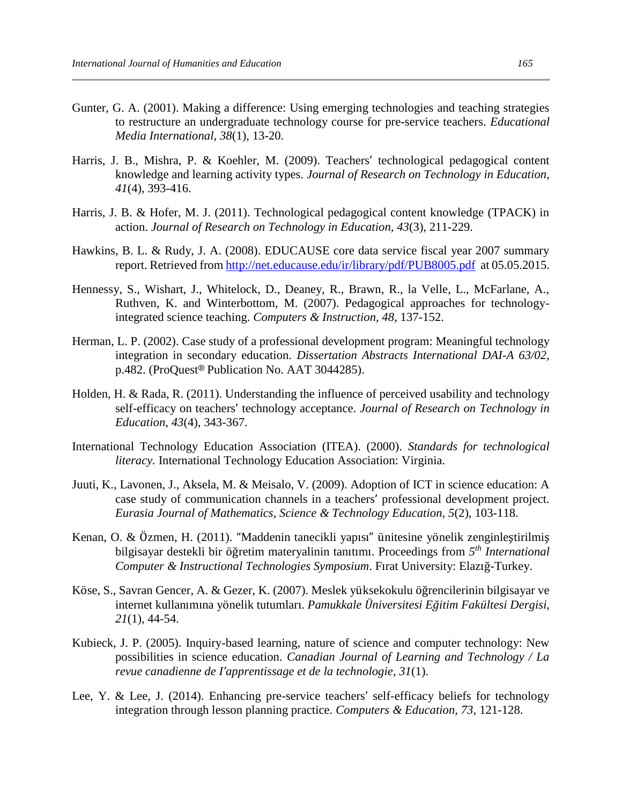- Gunter, G. A. (2001). Making a difference: Using emerging technologies and teaching strategies to restructure an undergraduate technology course for pre-service teachers. *Educational Media International, 38*(1), 13-20.
- Harris, J. B., Mishra, P. & Koehler, M. (2009). Teachers' technological pedagogical content knowledge and learning activity types. *Journal of Research on Technology in Education, 41*(4), 393-416.
- Harris, J. B. & Hofer, M. J. (2011). Technological pedagogical content knowledge (TPACK) in action. *Journal of Research on Technology in Education, 43*(3), 211-229.
- Hawkins, B. L. & Rudy, J. A. (2008). EDUCAUSE core data service fiscal year 2007 summary report. Retrieved from<http://net.educause.edu/ir/library/pdf/PUB8005.pdf> at 05.05.2015.
- Hennessy, S., Wishart, J., Whitelock, D., Deaney, R., Brawn, R., la Velle, L., McFarlane, A., Ruthven, K. and Winterbottom, M. (2007). Pedagogical approaches for technologyintegrated science teaching. *Computers & Instruction, 48*, 137-152.
- Herman, L. P. (2002). Case study of a professional development program: Meaningful technology integration in secondary education. *Dissertation Abstracts International DAI-A 63/02,* p.482. (ProQuest® Publication No. AAT 3044285).
- Holden, H. & Rada, R. (2011). Understanding the influence of perceived usability and technology self-efficacy on teachers' technology acceptance. *Journal of Research on Technology in Education, 43*(4), 343-367.
- International Technology Education Association (ITEA). (2000). *Standards for technological literacy.* International Technology Education Association: Virginia.
- Juuti, K., Lavonen, J., Aksela, M. & Meisalo, V. (2009). Adoption of ICT in science education: A case study of communication channels in a teachers' professional development project. *Eurasia Journal of Mathematics, Science & Technology Education, 5*(2), 103-118.
- Kenan, O. & Özmen, H. (2011). "Maddenin tanecikli yapısı" ünitesine yönelik zenginleştirilmiş bilgisayar destekli bir öğretim materyalinin tanıtımı. Proceedings from *5 th International Computer & Instructional Technologies Symposium*. Fırat University: Elazığ-Turkey.
- Köse, S., Savran Gencer, A. & Gezer, K. (2007). Meslek yüksekokulu öğrencilerinin bilgisayar ve internet kullanımına yönelik tutumları. *Pamukkale Üniversitesi Eğitim Fakültesi Dergisi, 21*(1), 44-54.
- Kubieck, J. P. (2005). Inquiry-based learning, nature of science and computer technology: New possibilities in science education. *Canadian Journal of Learning and Technology / La revue canadienne de I'apprentissage et de la technologie, 31*(1).
- Lee, Y. & Lee, J. (2014). Enhancing pre-service teachers' self-efficacy beliefs for technology integration through lesson planning practice. *Computers & Education, 73*, 121-128.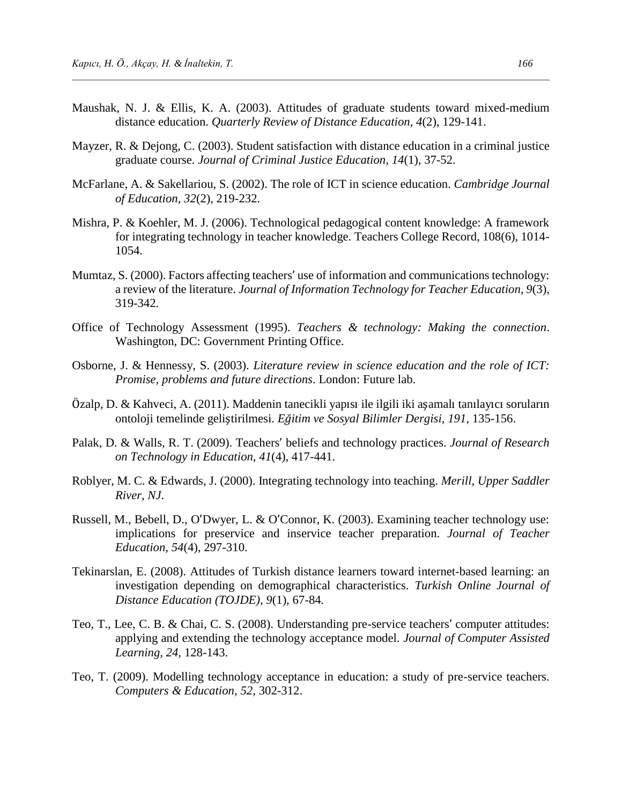- Maushak, N. J. & Ellis, K. A. (2003). Attitudes of graduate students toward mixed-medium distance education. *Quarterly Review of Distance Education, 4*(2), 129-141.
- Mayzer, R. & Dejong, C. (2003). Student satisfaction with distance education in a criminal justice graduate course. *Journal of Criminal Justice Education, 14*(1), 37-52.
- McFarlane, A. & Sakellariou, S. (2002). The role of ICT in science education. *Cambridge Journal of Education, 32*(2), 219-232.
- Mishra, P. & Koehler, M. J. (2006). Technological pedagogical content knowledge: A framework for integrating technology in teacher knowledge. Teachers College Record, 108(6), 1014- 1054.
- Mumtaz, S. (2000). Factors affecting teachers' use of information and communications technology: a review of the literature. *Journal of Information Technology for Teacher Education, 9*(3), 319-342.
- Office of Technology Assessment (1995). *Teachers & technology: Making the connection*. Washington, DC: Government Printing Office.
- Osborne, J. & Hennessy, S. (2003). *Literature review in science education and the role of ICT: Promise, problems and future directions*. London: Future lab.
- Özalp, D. & Kahveci, A. (2011). Maddenin tanecikli yapısı ile ilgili iki aşamalı tanılayıcı soruların ontoloji temelinde geliştirilmesi. *Eğitim ve Sosyal Bilimler Dergisi, 191*, 135-156.
- Palak, D. & Walls, R. T. (2009). Teachers' beliefs and technology practices. *Journal of Research on Technology in Education, 41*(4), 417-441.
- Roblyer, M. C. & Edwards, J. (2000). Integrating technology into teaching. *Merill, Upper Saddler River, NJ*.
- Russell, M., Bebell, D., O'Dwyer, L. & O'Connor, K. (2003). Examining teacher technology use: implications for preservice and inservice teacher preparation. *Journal of Teacher Education, 54*(4), 297-310.
- Tekinarslan, E. (2008). Attitudes of Turkish distance learners toward internet-based learning: an investigation depending on demographical characteristics. *Turkish Online Journal of Distance Education (TOJDE), 9*(1), 67-84*.*
- Teo, T., Lee, C. B. & Chai, C. S. (2008). Understanding pre-service teachers' computer attitudes: applying and extending the technology acceptance model. *Journal of Computer Assisted Learning, 24,* 128-143.
- Teo, T. (2009). Modelling technology acceptance in education: a study of pre-service teachers. *Computers & Education, 52*, 302-312.